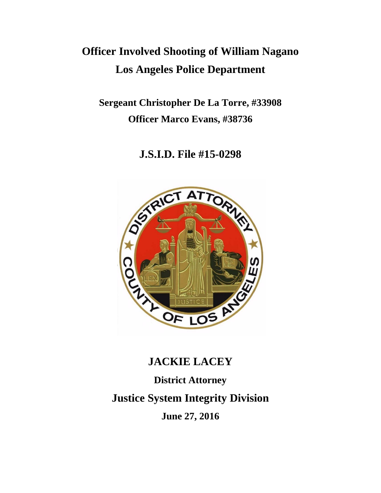# **Officer Involved Shooting of William Nagano Los Angeles Police Department**

**Sergeant Christopher De La Torre, #33908 Officer Marco Evans, #38736**

**J.S.I.D. File #15-0298**



# **JACKIE LACEY**

**District Attorney Justice System Integrity Division**

**June 27, 2016**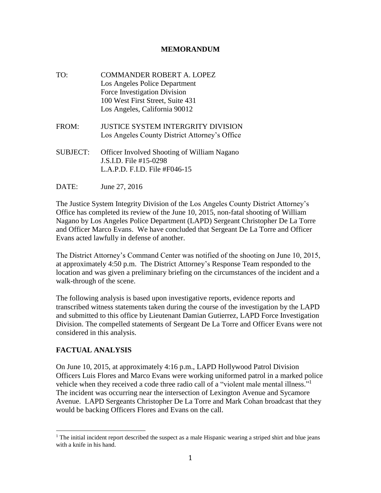#### **MEMORANDUM**

- TO: COMMANDER ROBERT A. LOPEZ Los Angeles Police Department Force Investigation Division 100 West First Street, Suite 431 Los Angeles, California 90012
- FROM: JUSTICE SYSTEM INTERGRITY DIVISION Los Angeles County District Attorney's Office
- SUBJECT: Officer Involved Shooting of William Nagano J.S.I.D. File #15-0298 L.A.P.D. F.I.D. File #F046-15
- DATE: June 27, 2016

The Justice System Integrity Division of the Los Angeles County District Attorney's Office has completed its review of the June 10, 2015, non-fatal shooting of William Nagano by Los Angeles Police Department (LAPD) Sergeant Christopher De La Torre and Officer Marco Evans. We have concluded that Sergeant De La Torre and Officer Evans acted lawfully in defense of another.

The District Attorney's Command Center was notified of the shooting on June 10, 2015, at approximately 4:50 p.m. The District Attorney's Response Team responded to the location and was given a preliminary briefing on the circumstances of the incident and a walk-through of the scene.

The following analysis is based upon investigative reports, evidence reports and transcribed witness statements taken during the course of the investigation by the LAPD and submitted to this office by Lieutenant Damian Gutierrez, LAPD Force Investigation Division. The compelled statements of Sergeant De La Torre and Officer Evans were not considered in this analysis.

### **FACTUAL ANALYSIS**

On June 10, 2015, at approximately 4:16 p.m., LAPD Hollywood Patrol Division Officers Luis Flores and Marco Evans were working uniformed patrol in a marked police vehicle when they received a code three radio call of a "violent male mental illness."<sup>1</sup> The incident was occurring near the intersection of Lexington Avenue and Sycamore Avenue. LAPD Sergeants Christopher De La Torre and Mark Cohan broadcast that they would be backing Officers Flores and Evans on the call.

l  $1$  The initial incident report described the suspect as a male Hispanic wearing a striped shirt and blue jeans with a knife in his hand.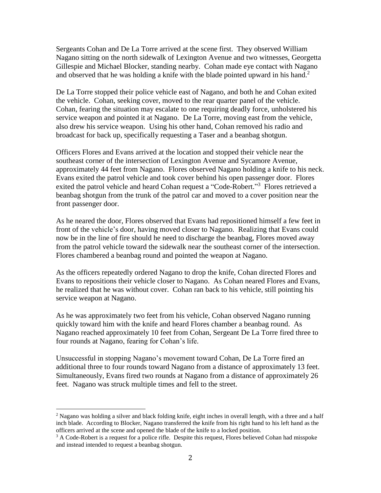Sergeants Cohan and De La Torre arrived at the scene first. They observed William Nagano sitting on the north sidewalk of Lexington Avenue and two witnesses, Georgetta Gillespie and Michael Blocker, standing nearby. Cohan made eye contact with Nagano and observed that he was holding a knife with the blade pointed upward in his hand.<sup>2</sup>

De La Torre stopped their police vehicle east of Nagano, and both he and Cohan exited the vehicle. Cohan, seeking cover, moved to the rear quarter panel of the vehicle. Cohan, fearing the situation may escalate to one requiring deadly force, unholstered his service weapon and pointed it at Nagano. De La Torre, moving east from the vehicle, also drew his service weapon. Using his other hand, Cohan removed his radio and broadcast for back up, specifically requesting a Taser and a beanbag shotgun.

Officers Flores and Evans arrived at the location and stopped their vehicle near the southeast corner of the intersection of Lexington Avenue and Sycamore Avenue, approximately 44 feet from Nagano. Flores observed Nagano holding a knife to his neck. Evans exited the patrol vehicle and took cover behind his open passenger door. Flores exited the patrol vehicle and heard Cohan request a "Code-Robert."<sup>3</sup> Flores retrieved a beanbag shotgun from the trunk of the patrol car and moved to a cover position near the front passenger door.

As he neared the door, Flores observed that Evans had repositioned himself a few feet in front of the vehicle's door, having moved closer to Nagano. Realizing that Evans could now be in the line of fire should he need to discharge the beanbag, Flores moved away from the patrol vehicle toward the sidewalk near the southeast corner of the intersection. Flores chambered a beanbag round and pointed the weapon at Nagano.

As the officers repeatedly ordered Nagano to drop the knife, Cohan directed Flores and Evans to repositions their vehicle closer to Nagano. As Cohan neared Flores and Evans, he realized that he was without cover. Cohan ran back to his vehicle, still pointing his service weapon at Nagano.

As he was approximately two feet from his vehicle, Cohan observed Nagano running quickly toward him with the knife and heard Flores chamber a beanbag round. As Nagano reached approximately 10 feet from Cohan, Sergeant De La Torre fired three to four rounds at Nagano, fearing for Cohan's life.

Unsuccessful in stopping Nagano's movement toward Cohan, De La Torre fired an additional three to four rounds toward Nagano from a distance of approximately 13 feet. Simultaneously, Evans fired two rounds at Nagano from a distance of approximately 26 feet. Nagano was struck multiple times and fell to the street.

 $\overline{a}$ 

<sup>&</sup>lt;sup>2</sup> Nagano was holding a silver and black folding knife, eight inches in overall length, with a three and a half inch blade. According to Blocker, Nagano transferred the knife from his right hand to his left hand as the officers arrived at the scene and opened the blade of the knife to a locked position.

 $3$  A Code-Robert is a request for a police rifle. Despite this request, Flores believed Cohan had misspoke and instead intended to request a beanbag shotgun.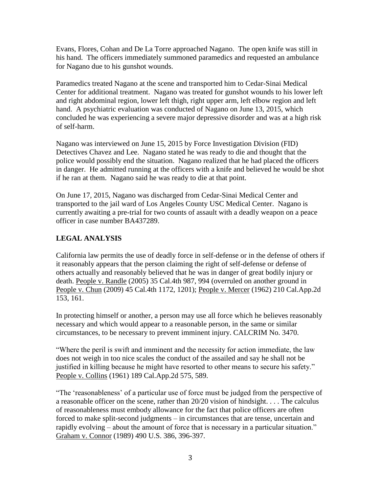Evans, Flores, Cohan and De La Torre approached Nagano. The open knife was still in his hand. The officers immediately summoned paramedics and requested an ambulance for Nagano due to his gunshot wounds.

Paramedics treated Nagano at the scene and transported him to Cedar-Sinai Medical Center for additional treatment. Nagano was treated for gunshot wounds to his lower left and right abdominal region, lower left thigh, right upper arm, left elbow region and left hand. A psychiatric evaluation was conducted of Nagano on June 13, 2015, which concluded he was experiencing a severe major depressive disorder and was at a high risk of self-harm.

Nagano was interviewed on June 15, 2015 by Force Investigation Division (FID) Detectives Chavez and Lee. Nagano stated he was ready to die and thought that the police would possibly end the situation. Nagano realized that he had placed the officers in danger. He admitted running at the officers with a knife and believed he would be shot if he ran at them. Nagano said he was ready to die at that point.

On June 17, 2015, Nagano was discharged from Cedar-Sinai Medical Center and transported to the jail ward of Los Angeles County USC Medical Center. Nagano is currently awaiting a pre-trial for two counts of assault with a deadly weapon on a peace officer in case number BA437289.

## **LEGAL ANALYSIS**

California law permits the use of deadly force in self-defense or in the defense of others if it reasonably appears that the person claiming the right of self-defense or defense of others actually and reasonably believed that he was in danger of great bodily injury or death. People v. Randle (2005) 35 Cal.4th 987, 994 (overruled on another ground in People v. Chun (2009) 45 Cal.4th 1172, 1201); People v. Mercer (1962) 210 Cal.App.2d 153, 161.

In protecting himself or another, a person may use all force which he believes reasonably necessary and which would appear to a reasonable person, in the same or similar circumstances, to be necessary to prevent imminent injury. CALCRIM No. 3470.

"Where the peril is swift and imminent and the necessity for action immediate, the law does not weigh in too nice scales the conduct of the assailed and say he shall not be justified in killing because he might have resorted to other means to secure his safety." People v. Collins (1961) 189 Cal.App.2d 575, 589.

"The 'reasonableness' of a particular use of force must be judged from the perspective of a reasonable officer on the scene, rather than 20/20 vision of hindsight. . . . The calculus of reasonableness must embody allowance for the fact that police officers are often forced to make split-second judgments – in circumstances that are tense, uncertain and rapidly evolving – about the amount of force that is necessary in a particular situation." Graham v. Connor (1989) 490 U.S. 386, 396-397.